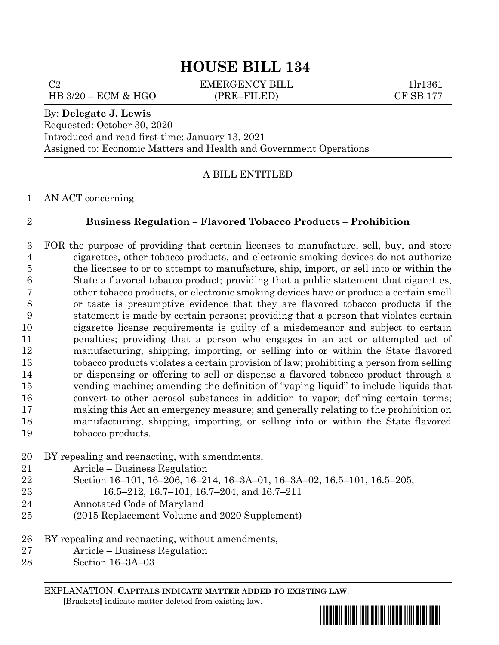C2 EMERGENCY BILL 1lr1361 HB 3/20 – ECM & HGO (PRE–FILED) CF SB 177

#### By: **Delegate J. Lewis**

Requested: October 30, 2020 Introduced and read first time: January 13, 2021 Assigned to: Economic Matters and Health and Government Operations

### A BILL ENTITLED

#### AN ACT concerning

### **Business Regulation – Flavored Tobacco Products – Prohibition**

 FOR the purpose of providing that certain licenses to manufacture, sell, buy, and store cigarettes, other tobacco products, and electronic smoking devices do not authorize the licensee to or to attempt to manufacture, ship, import, or sell into or within the State a flavored tobacco product; providing that a public statement that cigarettes, other tobacco products, or electronic smoking devices have or produce a certain smell or taste is presumptive evidence that they are flavored tobacco products if the statement is made by certain persons; providing that a person that violates certain cigarette license requirements is guilty of a misdemeanor and subject to certain penalties; providing that a person who engages in an act or attempted act of manufacturing, shipping, importing, or selling into or within the State flavored tobacco products violates a certain provision of law; prohibiting a person from selling or dispensing or offering to sell or dispense a flavored tobacco product through a vending machine; amending the definition of "vaping liquid" to include liquids that convert to other aerosol substances in addition to vapor; defining certain terms; making this Act an emergency measure; and generally relating to the prohibition on manufacturing, shipping, importing, or selling into or within the State flavored tobacco products.

- BY repealing and reenacting, with amendments,
- Article Business Regulation
- Section 16–101, 16–206, 16–214, 16–3A–01, 16–3A–02, 16.5–101, 16.5–205,
- 16.5–212, 16.7–101, 16.7–204, and 16.7–211
- Annotated Code of Maryland
- (2015 Replacement Volume and 2020 Supplement)
- BY repealing and reenacting, without amendments,
- Article Business Regulation
- Section 16–3A–03

EXPLANATION: **CAPITALS INDICATE MATTER ADDED TO EXISTING LAW**.  **[**Brackets**]** indicate matter deleted from existing law.

\*hb0134\*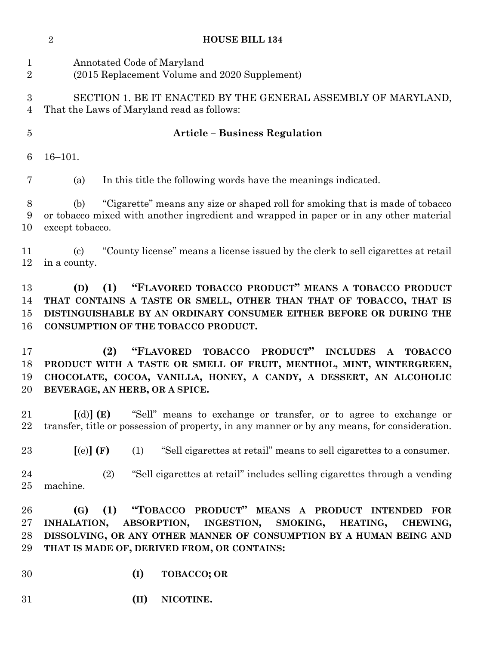|                                | $\sqrt{2}$<br><b>HOUSE BILL 134</b>                                                                                                                                                                                                                   |                                                                                                                                                                                                                                                                                     |  |
|--------------------------------|-------------------------------------------------------------------------------------------------------------------------------------------------------------------------------------------------------------------------------------------------------|-------------------------------------------------------------------------------------------------------------------------------------------------------------------------------------------------------------------------------------------------------------------------------------|--|
| $\mathbf{1}$<br>$\overline{2}$ | Annotated Code of Maryland<br>(2015 Replacement Volume and 2020 Supplement)                                                                                                                                                                           |                                                                                                                                                                                                                                                                                     |  |
| 3<br>4                         |                                                                                                                                                                                                                                                       | SECTION 1. BE IT ENACTED BY THE GENERAL ASSEMBLY OF MARYLAND,<br>That the Laws of Maryland read as follows:                                                                                                                                                                         |  |
| $\overline{5}$                 | <b>Article – Business Regulation</b>                                                                                                                                                                                                                  |                                                                                                                                                                                                                                                                                     |  |
| 6                              | $16 - 101.$                                                                                                                                                                                                                                           |                                                                                                                                                                                                                                                                                     |  |
| 7                              | (a)                                                                                                                                                                                                                                                   | In this title the following words have the meanings indicated.                                                                                                                                                                                                                      |  |
| $8\,$<br>9<br>10               | "Cigarette" means any size or shaped roll for smoking that is made of tobacco<br>(b)<br>or tobacco mixed with another ingredient and wrapped in paper or in any other material<br>except tobacco.                                                     |                                                                                                                                                                                                                                                                                     |  |
| 11<br>12                       | $\left( \text{c}\right)$<br>in a county.                                                                                                                                                                                                              | "County license" means a license issued by the clerk to sell cigarettes at retail                                                                                                                                                                                                   |  |
| 13<br>14<br>15<br>16           | "FLAVORED TOBACCO PRODUCT" MEANS A TOBACCO PRODUCT<br>(D)<br>(1)<br>THAT CONTAINS A TASTE OR SMELL, OTHER THAN THAT OF TOBACCO, THAT IS<br>DISTINGUISHABLE BY AN ORDINARY CONSUMER EITHER BEFORE OR DURING THE<br>CONSUMPTION OF THE TOBACCO PRODUCT. |                                                                                                                                                                                                                                                                                     |  |
| 17<br>18<br>19<br>20           |                                                                                                                                                                                                                                                       | "FLAVORED"<br><b>TOBACCO</b><br>PRODUCT"<br>(2)<br><b>INCLUDES</b><br><b>TOBACCO</b><br>$\mathbf{A}$<br>PRODUCT WITH A TASTE OR SMELL OF FRUIT, MENTHOL, MINT, WINTERGREEN,<br>CHOCOLATE, COCOA, VANILLA, HONEY, A CANDY, A DESSERT, AN ALCOHOLIC<br>BEVERAGE, AN HERB, OR A SPICE. |  |
| 21<br>22                       | $\lceil$ (d) $\rceil$ (E)                                                                                                                                                                                                                             | "Sell" means to exchange or transfer, or to agree to exchange or<br>transfer, title or possession of property, in any manner or by any means, for consideration.                                                                                                                    |  |
| 23                             | [(e)](F)                                                                                                                                                                                                                                              | "Sell cigarettes at retail" means to sell cigarettes to a consumer.<br>(1)                                                                                                                                                                                                          |  |
| 24<br>25                       | machine.                                                                                                                                                                                                                                              | "Sell cigarettes at retail" includes selling cigarettes through a vending<br>(2)                                                                                                                                                                                                    |  |
| 26<br>27<br>28<br>29           | (G)<br>INHALATION,                                                                                                                                                                                                                                    | "TOBACCO PRODUCT" MEANS A PRODUCT INTENDED<br>(1)<br><b>FOR</b><br><b>ABSORPTION,</b><br>INGESTION,<br>SMOKING,<br>HEATING,<br>CHEWING,<br>DISSOLVING, OR ANY OTHER MANNER OF CONSUMPTION BY A HUMAN BEING AND<br>THAT IS MADE OF, DERIVED FROM, OR CONTAINS:                       |  |
| 30                             |                                                                                                                                                                                                                                                       | (I)<br><b>TOBACCO; OR</b>                                                                                                                                                                                                                                                           |  |
| 31                             |                                                                                                                                                                                                                                                       | (II)<br>NICOTINE.                                                                                                                                                                                                                                                                   |  |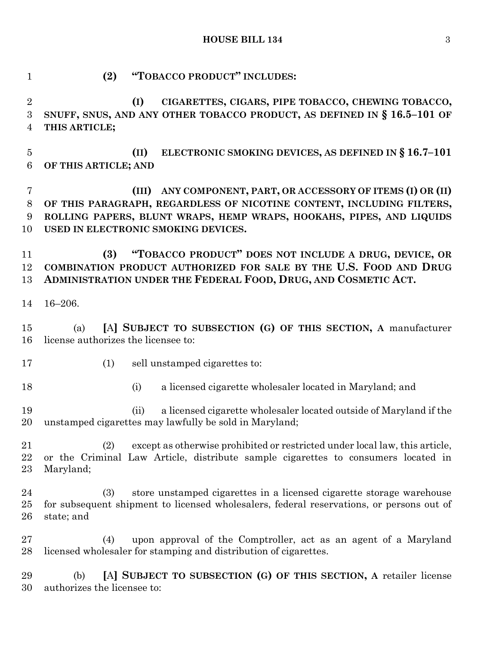| $\mathbf{1}$                            | (2)<br>"TOBACCO PRODUCT" INCLUDES:                                                                                                                                                                                                                      |
|-----------------------------------------|---------------------------------------------------------------------------------------------------------------------------------------------------------------------------------------------------------------------------------------------------------|
| $\boldsymbol{2}$<br>$\overline{3}$<br>4 | CIGARETTES, CIGARS, PIPE TOBACCO, CHEWING TOBACCO,<br>(I)<br>SNUFF, SNUS, AND ANY OTHER TOBACCO PRODUCT, AS DEFINED IN § 16.5-101 OF<br>THIS ARTICLE;                                                                                                   |
| $\overline{5}$<br>$6\phantom{.}6$       | ELECTRONIC SMOKING DEVICES, AS DEFINED IN § 16.7-101<br>(II)<br>OF THIS ARTICLE; AND                                                                                                                                                                    |
| 7<br>$8\,$<br>9<br>10                   | ANY COMPONENT, PART, OR ACCESSORY OF ITEMS (I) OR (II)<br>(III)<br>OF THIS PARAGRAPH, REGARDLESS OF NICOTINE CONTENT, INCLUDING FILTERS,<br>ROLLING PAPERS, BLUNT WRAPS, HEMP WRAPS, HOOKAHS, PIPES, AND LIQUIDS<br>USED IN ELECTRONIC SMOKING DEVICES. |
| 11<br>12<br>13                          | "TOBACCO PRODUCT" DOES NOT INCLUDE A DRUG, DEVICE, OR<br>(3)<br>COMBINATION PRODUCT AUTHORIZED FOR SALE BY THE U.S. FOOD AND DRUG<br>ADMINISTRATION UNDER THE FEDERAL FOOD, DRUG, AND COSMETIC ACT.                                                     |
| 14                                      | $16 - 206.$                                                                                                                                                                                                                                             |
| 15<br>16                                | [A] SUBJECT TO SUBSECTION (G) OF THIS SECTION, A manufacturer<br>(a)<br>license authorizes the licensee to:                                                                                                                                             |
| 17                                      | (1)<br>sell unstamped cigarettes to:                                                                                                                                                                                                                    |
| 18                                      | a licensed cigarette wholesaler located in Maryland; and<br>(i)                                                                                                                                                                                         |
| 19<br>20                                | a licensed cigarette wholesaler located outside of Maryland if the<br>(ii)<br>unstamped cigarettes may lawfully be sold in Maryland;                                                                                                                    |
| 21<br>22<br>23                          | except as otherwise prohibited or restricted under local law, this article,<br>(2)<br>or the Criminal Law Article, distribute sample cigarettes to consumers located in<br>Maryland;                                                                    |
| 24<br>25<br>26                          | store unstamped cigarettes in a licensed cigarette storage warehouse<br>(3)<br>for subsequent shipment to licensed wholesalers, federal reservations, or persons out of<br>state; and                                                                   |
| 27<br>28                                | upon approval of the Comptroller, act as an agent of a Maryland<br>(4)<br>licensed wholesaler for stamping and distribution of cigarettes.                                                                                                              |
| 29<br>30                                | [A] SUBJECT TO SUBSECTION (G) OF THIS SECTION, A retailer license<br>(b)<br>authorizes the licensee to:                                                                                                                                                 |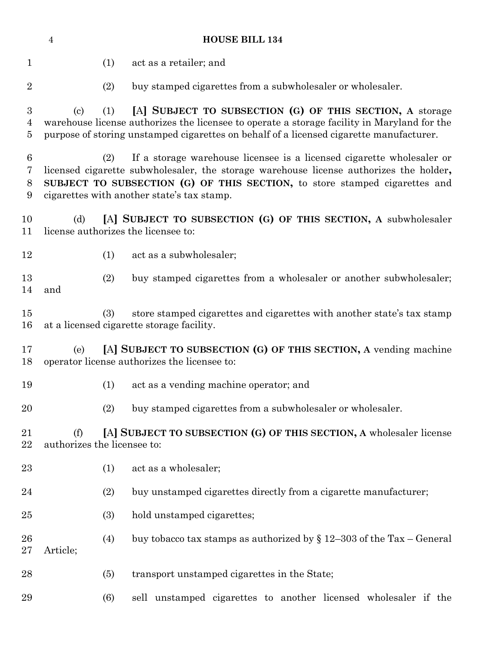| <b>HOUSE BILL 134</b><br>$\overline{4}$ |                                                                                                                                                                                                                                                                                                    |                                                                                                                                                                                                                                                    |  |  |
|-----------------------------------------|----------------------------------------------------------------------------------------------------------------------------------------------------------------------------------------------------------------------------------------------------------------------------------------------------|----------------------------------------------------------------------------------------------------------------------------------------------------------------------------------------------------------------------------------------------------|--|--|
| 1                                       | (1)                                                                                                                                                                                                                                                                                                | act as a retailer; and                                                                                                                                                                                                                             |  |  |
| $\overline{2}$                          | (2)                                                                                                                                                                                                                                                                                                | buy stamped cigarettes from a subwholesaler or wholesaler.                                                                                                                                                                                         |  |  |
| 3<br>$\overline{4}$<br>5                | (1)<br>(c)                                                                                                                                                                                                                                                                                         | [A] SUBJECT TO SUBSECTION (G) OF THIS SECTION, A storage<br>warehouse license authorizes the licensee to operate a storage facility in Maryland for the<br>purpose of storing unstamped cigarettes on behalf of a licensed cigarette manufacturer. |  |  |
| $6\phantom{.}6$<br>7<br>8<br>9          | If a storage warehouse licensee is a licensed cigarette wholesaler or<br>(2)<br>licensed cigarette subwholesaler, the storage warehouse license authorizes the holder,<br>SUBJECT TO SUBSECTION (G) OF THIS SECTION, to store stamped cigarettes and<br>cigarettes with another state's tax stamp. |                                                                                                                                                                                                                                                    |  |  |
| 10<br>11                                | [A] SUBJECT TO SUBSECTION (G) OF THIS SECTION, A subwholesaler<br>(d)<br>license authorizes the licensee to:                                                                                                                                                                                       |                                                                                                                                                                                                                                                    |  |  |
| 12                                      | (1)                                                                                                                                                                                                                                                                                                | act as a subwholesaler;                                                                                                                                                                                                                            |  |  |
| 13<br>14                                | (2)<br>and                                                                                                                                                                                                                                                                                         | buy stamped cigarettes from a wholesaler or another subwholesaler;                                                                                                                                                                                 |  |  |
| 15<br>16                                | (3)                                                                                                                                                                                                                                                                                                | store stamped cigarettes and cigarettes with another state's tax stamp<br>at a licensed cigarette storage facility.                                                                                                                                |  |  |
| 17<br>18                                | [A] SUBJECT TO SUBSECTION (G) OF THIS SECTION, A vending machine<br>(e)<br>operator license authorizes the licensee to:                                                                                                                                                                            |                                                                                                                                                                                                                                                    |  |  |
| 19                                      | (1)                                                                                                                                                                                                                                                                                                | act as a vending machine operator; and                                                                                                                                                                                                             |  |  |
| 20                                      | (2)                                                                                                                                                                                                                                                                                                | buy stamped cigarettes from a subwholesaler or wholesaler.                                                                                                                                                                                         |  |  |
| 21<br>22                                | [A] SUBJECT TO SUBSECTION (G) OF THIS SECTION, A wholesaler license<br>(f)<br>authorizes the licensee to:                                                                                                                                                                                          |                                                                                                                                                                                                                                                    |  |  |
| 23                                      | (1)                                                                                                                                                                                                                                                                                                | act as a wholesaler;                                                                                                                                                                                                                               |  |  |
| 24                                      | (2)                                                                                                                                                                                                                                                                                                | buy unstamped cigarettes directly from a cigarette manufacturer;                                                                                                                                                                                   |  |  |
| 25                                      | (3)                                                                                                                                                                                                                                                                                                | hold unstamped cigarettes;                                                                                                                                                                                                                         |  |  |
| 26<br>$27\,$                            | (4)<br>Article;                                                                                                                                                                                                                                                                                    | buy tobacco tax stamps as authorized by $\S 12-303$ of the Tax – General                                                                                                                                                                           |  |  |
| 28                                      | (5)                                                                                                                                                                                                                                                                                                | transport unstamped cigarettes in the State;                                                                                                                                                                                                       |  |  |
| 29                                      | (6)                                                                                                                                                                                                                                                                                                | sell unstamped cigarettes to another licensed wholesaler if the                                                                                                                                                                                    |  |  |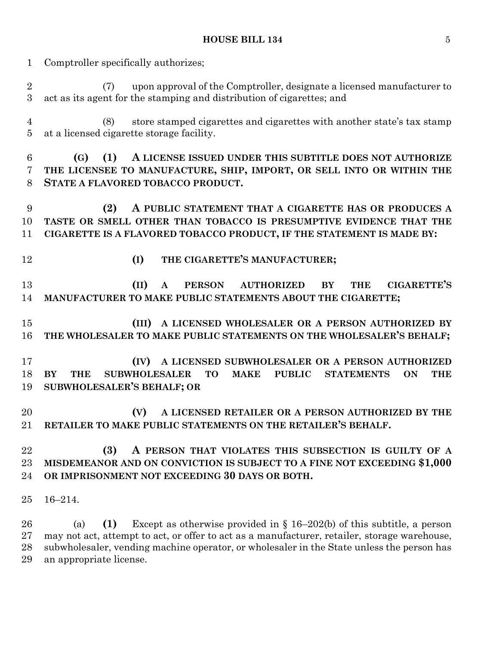Comptroller specifically authorizes;

 (7) upon approval of the Comptroller, designate a licensed manufacturer to act as its agent for the stamping and distribution of cigarettes; and

 (8) store stamped cigarettes and cigarettes with another state's tax stamp at a licensed cigarette storage facility.

 **(G) (1) A LICENSE ISSUED UNDER THIS SUBTITLE DOES NOT AUTHORIZE THE LICENSEE TO MANUFACTURE, SHIP, IMPORT, OR SELL INTO OR WITHIN THE STATE A FLAVORED TOBACCO PRODUCT.**

 **(2) A PUBLIC STATEMENT THAT A CIGARETTE HAS OR PRODUCES A TASTE OR SMELL OTHER THAN TOBACCO IS PRESUMPTIVE EVIDENCE THAT THE CIGARETTE IS A FLAVORED TOBACCO PRODUCT, IF THE STATEMENT IS MADE BY:**

- 
- **(I) THE CIGARETTE'S MANUFACTURER;**

 **(II) A PERSON AUTHORIZED BY THE CIGARETTE'S MANUFACTURER TO MAKE PUBLIC STATEMENTS ABOUT THE CIGARETTE;**

 **(III) A LICENSED WHOLESALER OR A PERSON AUTHORIZED BY THE WHOLESALER TO MAKE PUBLIC STATEMENTS ON THE WHOLESALER'S BEHALF;**

 **(IV) A LICENSED SUBWHOLESALER OR A PERSON AUTHORIZED BY THE SUBWHOLESALER TO MAKE PUBLIC STATEMENTS ON THE SUBWHOLESALER'S BEHALF; OR**

 **(V) A LICENSED RETAILER OR A PERSON AUTHORIZED BY THE RETAILER TO MAKE PUBLIC STATEMENTS ON THE RETAILER'S BEHALF.**

# **(3) A PERSON THAT VIOLATES THIS SUBSECTION IS GUILTY OF A MISDEMEANOR AND ON CONVICTION IS SUBJECT TO A FINE NOT EXCEEDING \$1,000 OR IMPRISONMENT NOT EXCEEDING 30 DAYS OR BOTH.**

16–214.

 (a) **(1)** Except as otherwise provided in § 16–202(b) of this subtitle, a person may not act, attempt to act, or offer to act as a manufacturer, retailer, storage warehouse, subwholesaler, vending machine operator, or wholesaler in the State unless the person has an appropriate license.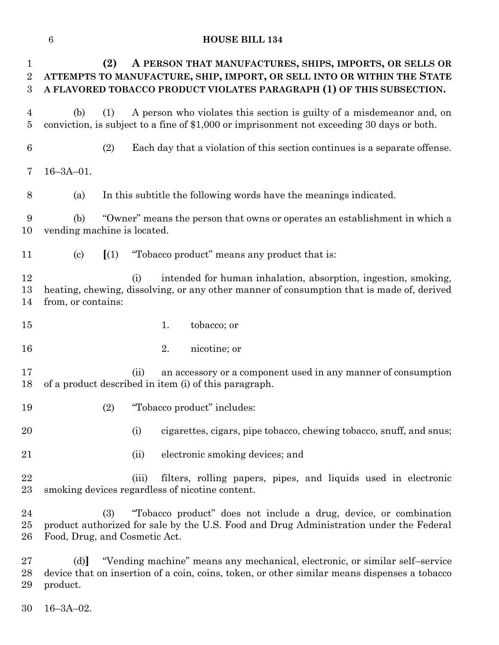| $\mathbf{1}$<br>$\overline{2}$<br>3 | A PERSON THAT MANUFACTURES, SHIPS, IMPORTS, OR SELLS OR<br>(2)<br>ATTEMPTS TO MANUFACTURE, SHIP, IMPORT, OR SELL INTO OR WITHIN THE STATE<br>A FLAVORED TOBACCO PRODUCT VIOLATES PARAGRAPH (1) OF THIS SUBSECTION. |  |  |
|-------------------------------------|--------------------------------------------------------------------------------------------------------------------------------------------------------------------------------------------------------------------|--|--|
| 4<br>5                              | A person who violates this section is guilty of a misdemeanor and, on<br>(b)<br>(1)<br>conviction, is subject to a fine of \$1,000 or imprisonment not exceeding 30 days or both.                                  |  |  |
| 6                                   | (2)<br>Each day that a violation of this section continues is a separate offense.                                                                                                                                  |  |  |
| 7                                   | $16 - 3A - 01$ .                                                                                                                                                                                                   |  |  |
| 8                                   | In this subtitle the following words have the meanings indicated.<br>(a)                                                                                                                                           |  |  |
| 9<br>10                             | "Owner" means the person that owns or operates an establishment in which a<br>(b)<br>vending machine is located.                                                                                                   |  |  |
| 11                                  | $\left[ \begin{array}{c} (1) \end{array} \right]$<br>"Tobacco product" means any product that is:<br>$\left( \mathrm{c}\right)$                                                                                    |  |  |
| 12<br>13<br>14                      | intended for human inhalation, absorption, ingestion, smoking,<br>(i)<br>heating, chewing, dissolving, or any other manner of consumption that is made of, derived<br>from, or contains:                           |  |  |
| 15                                  | 1.<br>tobacco; or                                                                                                                                                                                                  |  |  |
| 16                                  | 2.<br>nicotine; or                                                                                                                                                                                                 |  |  |
| 17<br>18                            | an accessory or a component used in any manner of consumption<br>(ii)<br>of a product described in item (i) of this paragraph.                                                                                     |  |  |
| 19                                  | "Tobacco product" includes:<br>(2)                                                                                                                                                                                 |  |  |
| 20                                  | cigarettes, cigars, pipe tobacco, chewing tobacco, snuff, and snus;<br>(i)                                                                                                                                         |  |  |
| 21                                  | electronic smoking devices; and<br>(ii)                                                                                                                                                                            |  |  |
| 22<br>$23\,$                        | filters, rolling papers, pipes, and liquids used in electronic<br>(iii)<br>smoking devices regardless of nicotine content.                                                                                         |  |  |
| 24<br>25<br>26                      | "Tobacco product" does not include a drug, device, or combination<br>(3)<br>product authorized for sale by the U.S. Food and Drug Administration under the Federal<br>Food, Drug, and Cosmetic Act.                |  |  |
| $27\,$                              | "Vending machine" means any mechanical, electronic, or similar self-service<br>(d)                                                                                                                                 |  |  |

 device that on insertion of a coin, coins, token, or other similar means dispenses a tobacco product.

16–3A–02.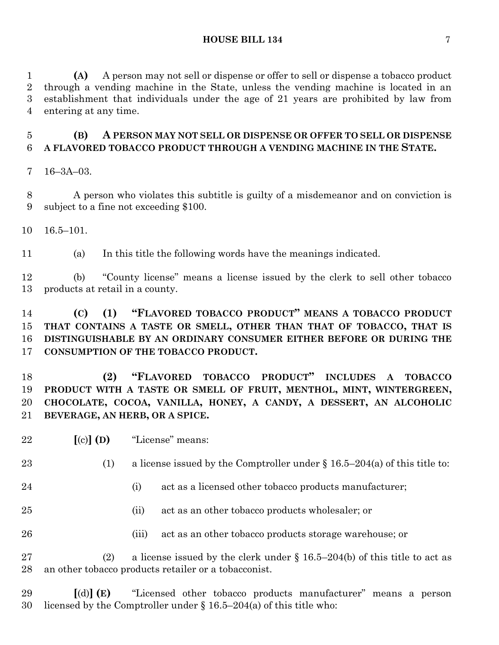**(A)** A person may not sell or dispense or offer to sell or dispense a tobacco product through a vending machine in the State, unless the vending machine is located in an establishment that individuals under the age of 21 years are prohibited by law from entering at any time.

# **(B) A PERSON MAY NOT SELL OR DISPENSE OR OFFER TO SELL OR DISPENSE A FLAVORED TOBACCO PRODUCT THROUGH A VENDING MACHINE IN THE STATE.**

16–3A–03.

 A person who violates this subtitle is guilty of a misdemeanor and on conviction is subject to a fine not exceeding \$100.

16.5–101.

(a) In this title the following words have the meanings indicated.

 (b) "County license" means a license issued by the clerk to sell other tobacco products at retail in a county.

# **(C) (1) "FLAVORED TOBACCO PRODUCT" MEANS A TOBACCO PRODUCT THAT CONTAINS A TASTE OR SMELL, OTHER THAN THAT OF TOBACCO, THAT IS DISTINGUISHABLE BY AN ORDINARY CONSUMER EITHER BEFORE OR DURING THE CONSUMPTION OF THE TOBACCO PRODUCT.**

 **(2) "FLAVORED TOBACCO PRODUCT" INCLUDES A TOBACCO PRODUCT WITH A TASTE OR SMELL OF FRUIT, MENTHOL, MINT, WINTERGREEN, CHOCOLATE, COCOA, VANILLA, HONEY, A CANDY, A DESSERT, AN ALCOHOLIC BEVERAGE, AN HERB, OR A SPICE.**

**[**(c)**] (D)** "License" means:

23 (1) a license issued by the Comptroller under  $\S 16.5-204(a)$  of this title to:

- 24 (i) act as a licensed other tobacco products manufacturer;
- (ii) act as an other tobacco products wholesaler; or
- 26 (iii) act as an other tobacco products storage warehouse; or

27 (2) a license issued by the clerk under  $\S 16.5-204(b)$  of this title to act as an other tobacco products retailer or a tobacconist.

 **[**(d)**] (E)** "Licensed other tobacco products manufacturer" means a person licensed by the Comptroller under § 16.5–204(a) of this title who: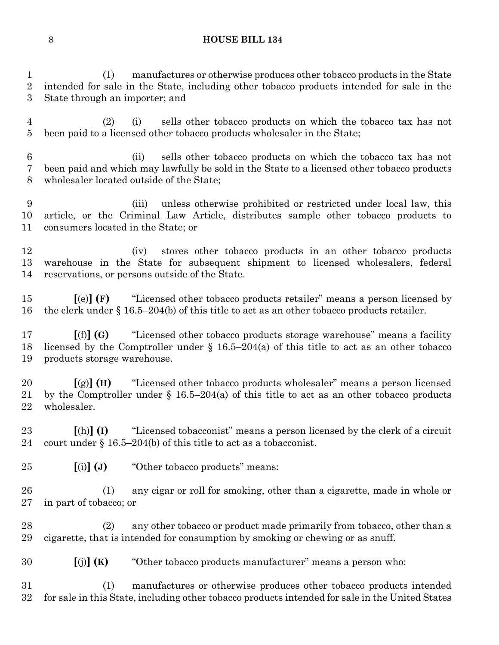(1) manufactures or otherwise produces other tobacco products in the State intended for sale in the State, including other tobacco products intended for sale in the State through an importer; and

 (2) (i) sells other tobacco products on which the tobacco tax has not been paid to a licensed other tobacco products wholesaler in the State;

 (ii) sells other tobacco products on which the tobacco tax has not been paid and which may lawfully be sold in the State to a licensed other tobacco products wholesaler located outside of the State;

 (iii) unless otherwise prohibited or restricted under local law, this article, or the Criminal Law Article, distributes sample other tobacco products to consumers located in the State; or

 (iv) stores other tobacco products in an other tobacco products warehouse in the State for subsequent shipment to licensed wholesalers, federal reservations, or persons outside of the State.

 **[**(e)**] (F)** "Licensed other tobacco products retailer" means a person licensed by the clerk under § 16.5–204(b) of this title to act as an other tobacco products retailer.

 **[**(f)**] (G)** "Licensed other tobacco products storage warehouse" means a facility licensed by the Comptroller under § 16.5–204(a) of this title to act as an other tobacco products storage warehouse.

 **[**(g)**] (H)** "Licensed other tobacco products wholesaler" means a person licensed by the Comptroller under § 16.5–204(a) of this title to act as an other tobacco products wholesaler.

 **[**(h)**] (I)** "Licensed tobacconist" means a person licensed by the clerk of a circuit court under § 16.5–204(b) of this title to act as a tobacconist.

**[**(i)**] (J)** "Other tobacco products" means:

 (1) any cigar or roll for smoking, other than a cigarette, made in whole or in part of tobacco; or

 (2) any other tobacco or product made primarily from tobacco, other than a cigarette, that is intended for consumption by smoking or chewing or as snuff.

**[**(j)**] (K)** "Other tobacco products manufacturer" means a person who:

 (1) manufactures or otherwise produces other tobacco products intended for sale in this State, including other tobacco products intended for sale in the United States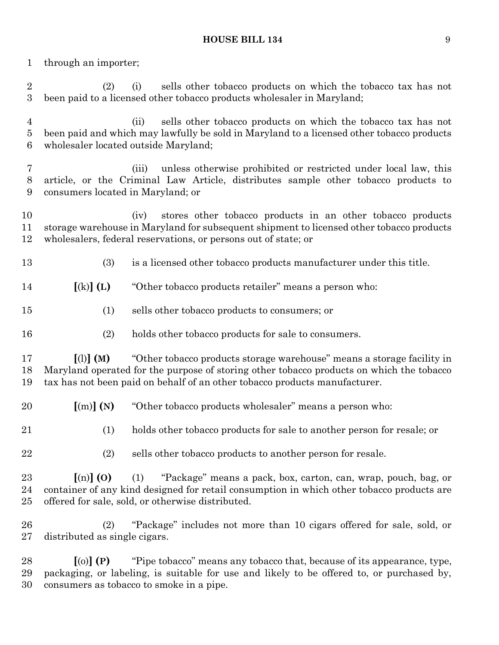through an importer;

 (2) (i) sells other tobacco products on which the tobacco tax has not been paid to a licensed other tobacco products wholesaler in Maryland;

 (ii) sells other tobacco products on which the tobacco tax has not been paid and which may lawfully be sold in Maryland to a licensed other tobacco products wholesaler located outside Maryland;

 (iii) unless otherwise prohibited or restricted under local law, this article, or the Criminal Law Article, distributes sample other tobacco products to consumers located in Maryland; or

 (iv) stores other tobacco products in an other tobacco products storage warehouse in Maryland for subsequent shipment to licensed other tobacco products wholesalers, federal reservations, or persons out of state; or

(3) is a licensed other tobacco products manufacturer under this title.

**[**(k)**] (L)** "Other tobacco products retailer" means a person who:

- (1) sells other tobacco products to consumers; or
- (2) holds other tobacco products for sale to consumers.

 **[**(l)**] (M)** "Other tobacco products storage warehouse" means a storage facility in Maryland operated for the purpose of storing other tobacco products on which the tobacco tax has not been paid on behalf of an other tobacco products manufacturer.

**[**(m)**] (N)** "Other tobacco products wholesaler" means a person who:

(1) holds other tobacco products for sale to another person for resale; or

(2) sells other tobacco products to another person for resale.

 **[**(n)**] (O)** (1) "Package" means a pack, box, carton, can, wrap, pouch, bag, or container of any kind designed for retail consumption in which other tobacco products are offered for sale, sold, or otherwise distributed.

 (2) "Package" includes not more than 10 cigars offered for sale, sold, or distributed as single cigars.

 **[**(o)**] (P)** "Pipe tobacco" means any tobacco that, because of its appearance, type, packaging, or labeling, is suitable for use and likely to be offered to, or purchased by, consumers as tobacco to smoke in a pipe.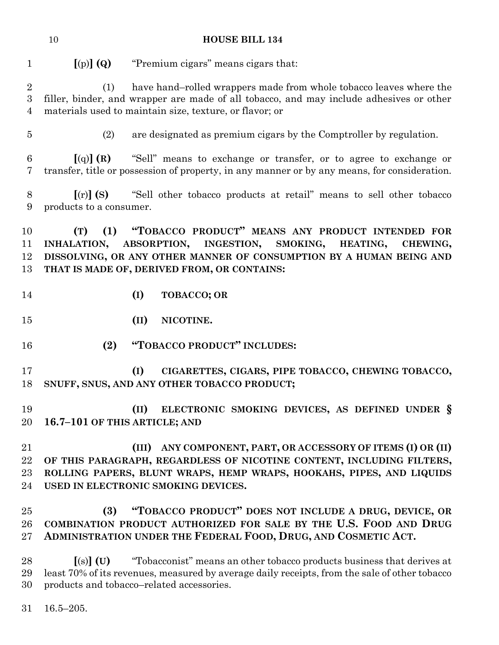**[**(p)**] (Q)** "Premium cigars" means cigars that:

 (1) have hand–rolled wrappers made from whole tobacco leaves where the filler, binder, and wrapper are made of all tobacco, and may include adhesives or other materials used to maintain size, texture, or flavor; or

(2) are designated as premium cigars by the Comptroller by regulation.

 **[**(q)**] (R)** "Sell" means to exchange or transfer, or to agree to exchange or transfer, title or possession of property, in any manner or by any means, for consideration.

 **[**(r)**] (S)** "Sell other tobacco products at retail" means to sell other tobacco products to a consumer.

 **(T) (1) "TOBACCO PRODUCT" MEANS ANY PRODUCT INTENDED FOR INHALATION, ABSORPTION, INGESTION, SMOKING, HEATING, CHEWING, DISSOLVING, OR ANY OTHER MANNER OF CONSUMPTION BY A HUMAN BEING AND THAT IS MADE OF, DERIVED FROM, OR CONTAINS:**

- **(I) TOBACCO; OR**
- **(II) NICOTINE.**
- **(2) "TOBACCO PRODUCT" INCLUDES:**
- **(I) CIGARETTES, CIGARS, PIPE TOBACCO, CHEWING TOBACCO, SNUFF, SNUS, AND ANY OTHER TOBACCO PRODUCT;**

 **(II) ELECTRONIC SMOKING DEVICES, AS DEFINED UNDER § 16.7–101 OF THIS ARTICLE; AND**

 **(III) ANY COMPONENT, PART, OR ACCESSORY OF ITEMS (I) OR (II) OF THIS PARAGRAPH, REGARDLESS OF NICOTINE CONTENT, INCLUDING FILTERS, ROLLING PAPERS, BLUNT WRAPS, HEMP WRAPS, HOOKAHS, PIPES, AND LIQUIDS USED IN ELECTRONIC SMOKING DEVICES.**

# **(3) "TOBACCO PRODUCT" DOES NOT INCLUDE A DRUG, DEVICE, OR COMBINATION PRODUCT AUTHORIZED FOR SALE BY THE U.S. FOOD AND DRUG ADMINISTRATION UNDER THE FEDERAL FOOD, DRUG, AND COSMETIC ACT.**

 **[**(s)**] (U)** "Tobacconist" means an other tobacco products business that derives at least 70% of its revenues, measured by average daily receipts, from the sale of other tobacco products and tobacco–related accessories.

16.5–205.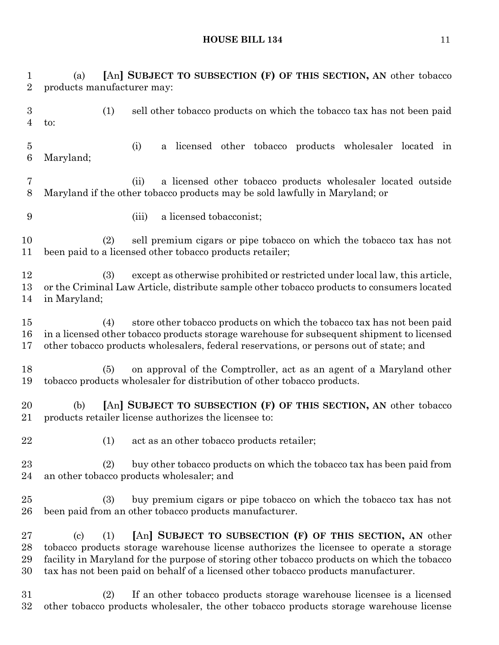(a) **[**An**] SUBJECT TO SUBSECTION (F) OF THIS SECTION, AN** other tobacco products manufacturer may: (1) sell other tobacco products on which the tobacco tax has not been paid to: (i) a licensed other tobacco products wholesaler located in Maryland; (ii) a licensed other tobacco products wholesaler located outside Maryland if the other tobacco products may be sold lawfully in Maryland; or (iii) a licensed tobacconist; (2) sell premium cigars or pipe tobacco on which the tobacco tax has not been paid to a licensed other tobacco products retailer; (3) except as otherwise prohibited or restricted under local law, this article, or the Criminal Law Article, distribute sample other tobacco products to consumers located in Maryland; (4) store other tobacco products on which the tobacco tax has not been paid in a licensed other tobacco products storage warehouse for subsequent shipment to licensed other tobacco products wholesalers, federal reservations, or persons out of state; and (5) on approval of the Comptroller, act as an agent of a Maryland other tobacco products wholesaler for distribution of other tobacco products. (b) **[**An**] SUBJECT TO SUBSECTION (F) OF THIS SECTION, AN** other tobacco products retailer license authorizes the licensee to: 22 (1) act as an other tobacco products retailer; (2) buy other tobacco products on which the tobacco tax has been paid from an other tobacco products wholesaler; and (3) buy premium cigars or pipe tobacco on which the tobacco tax has not been paid from an other tobacco products manufacturer. (c) (1) **[**An**] SUBJECT TO SUBSECTION (F) OF THIS SECTION, AN** other tobacco products storage warehouse license authorizes the licensee to operate a storage facility in Maryland for the purpose of storing other tobacco products on which the tobacco tax has not been paid on behalf of a licensed other tobacco products manufacturer. (2) If an other tobacco products storage warehouse licensee is a licensed

other tobacco products wholesaler, the other tobacco products storage warehouse license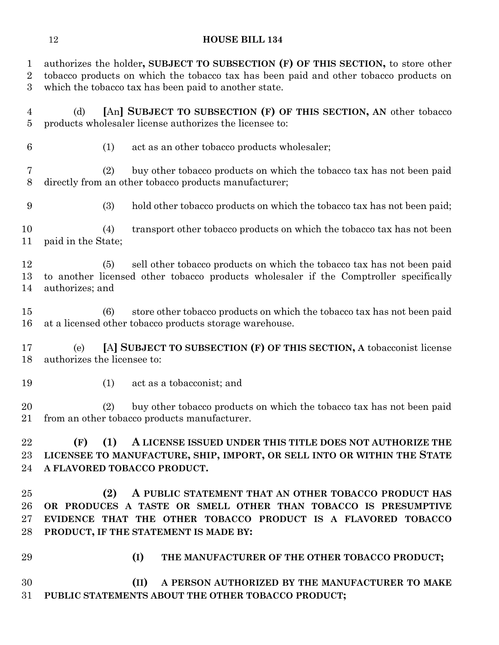authorizes the holder**, SUBJECT TO SUBSECTION (F) OF THIS SECTION,** to store other tobacco products on which the tobacco tax has been paid and other tobacco products on which the tobacco tax has been paid to another state.

- (d) **[**An**] SUBJECT TO SUBSECTION (F) OF THIS SECTION, AN** other tobacco products wholesaler license authorizes the licensee to:
- 
- (1) act as an other tobacco products wholesaler;

 (2) buy other tobacco products on which the tobacco tax has not been paid directly from an other tobacco products manufacturer;

(3) hold other tobacco products on which the tobacco tax has not been paid;

 (4) transport other tobacco products on which the tobacco tax has not been paid in the State;

 (5) sell other tobacco products on which the tobacco tax has not been paid to another licensed other tobacco products wholesaler if the Comptroller specifically authorizes; and

 (6) store other tobacco products on which the tobacco tax has not been paid at a licensed other tobacco products storage warehouse.

 (e) **[**A**] SUBJECT TO SUBSECTION (F) OF THIS SECTION, A** tobacconist license authorizes the licensee to:

(1) act as a tobacconist; and

 (2) buy other tobacco products on which the tobacco tax has not been paid from an other tobacco products manufacturer.

 **(F) (1) A LICENSE ISSUED UNDER THIS TITLE DOES NOT AUTHORIZE THE LICENSEE TO MANUFACTURE, SHIP, IMPORT, OR SELL INTO OR WITHIN THE STATE A FLAVORED TOBACCO PRODUCT.**

 **(2) A PUBLIC STATEMENT THAT AN OTHER TOBACCO PRODUCT HAS OR PRODUCES A TASTE OR SMELL OTHER THAN TOBACCO IS PRESUMPTIVE EVIDENCE THAT THE OTHER TOBACCO PRODUCT IS A FLAVORED TOBACCO PRODUCT, IF THE STATEMENT IS MADE BY:**

- 
- **(I) THE MANUFACTURER OF THE OTHER TOBACCO PRODUCT;**

 **(II) A PERSON AUTHORIZED BY THE MANUFACTURER TO MAKE PUBLIC STATEMENTS ABOUT THE OTHER TOBACCO PRODUCT;**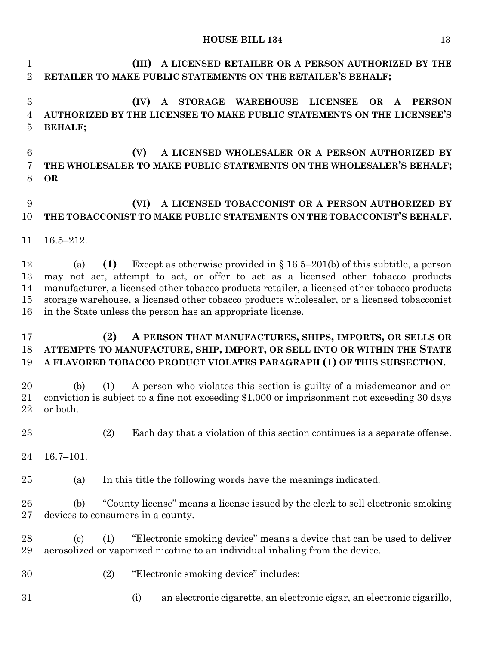**(III) A LICENSED RETAILER OR A PERSON AUTHORIZED BY THE RETAILER TO MAKE PUBLIC STATEMENTS ON THE RETAILER'S BEHALF;**

 **(IV) A STORAGE WAREHOUSE LICENSEE OR A PERSON AUTHORIZED BY THE LICENSEE TO MAKE PUBLIC STATEMENTS ON THE LICENSEE'S BEHALF;**

 **(V) A LICENSED WHOLESALER OR A PERSON AUTHORIZED BY THE WHOLESALER TO MAKE PUBLIC STATEMENTS ON THE WHOLESALER'S BEHALF; OR**

### **(VI) A LICENSED TOBACCONIST OR A PERSON AUTHORIZED BY THE TOBACCONIST TO MAKE PUBLIC STATEMENTS ON THE TOBACCONIST'S BEHALF.**

16.5–212.

 (a) **(1)** Except as otherwise provided in § 16.5–201(b) of this subtitle, a person may not act, attempt to act, or offer to act as a licensed other tobacco products manufacturer, a licensed other tobacco products retailer, a licensed other tobacco products storage warehouse, a licensed other tobacco products wholesaler, or a licensed tobacconist in the State unless the person has an appropriate license.

## **(2) A PERSON THAT MANUFACTURES, SHIPS, IMPORTS, OR SELLS OR ATTEMPTS TO MANUFACTURE, SHIP, IMPORT, OR SELL INTO OR WITHIN THE STATE A FLAVORED TOBACCO PRODUCT VIOLATES PARAGRAPH (1) OF THIS SUBSECTION.**

 (b) (1) A person who violates this section is guilty of a misdemeanor and on conviction is subject to a fine not exceeding \$1,000 or imprisonment not exceeding 30 days or both.

(2) Each day that a violation of this section continues is a separate offense.

16.7–101.

(a) In this title the following words have the meanings indicated.

 (b) "County license" means a license issued by the clerk to sell electronic smoking devices to consumers in a county.

 (c) (1) "Electronic smoking device" means a device that can be used to deliver aerosolized or vaporized nicotine to an individual inhaling from the device.

- (2) "Electronic smoking device" includes:
- 
- (i) an electronic cigarette, an electronic cigar, an electronic cigarillo,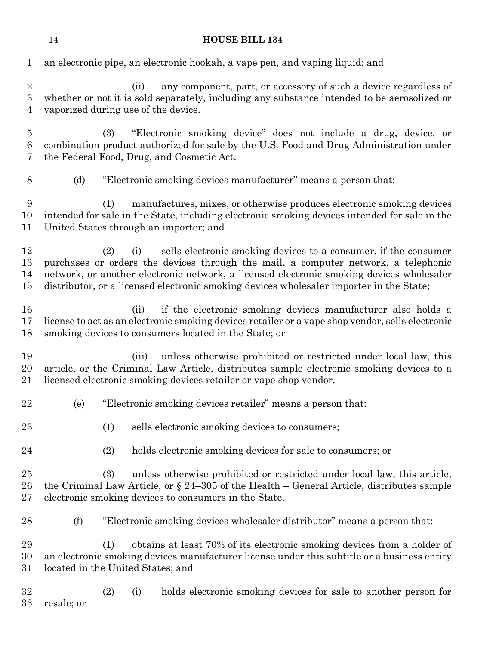| $\mathbf{1}$                                           | an electronic pipe, an electronic hookah, a vape pen, and vaping liquid; and                                                                                                                                                                                                                                                                               |  |  |
|--------------------------------------------------------|------------------------------------------------------------------------------------------------------------------------------------------------------------------------------------------------------------------------------------------------------------------------------------------------------------------------------------------------------------|--|--|
| $\boldsymbol{2}$<br>$\boldsymbol{3}$<br>$\overline{4}$ | any component, part, or accessory of such a device regardless of<br>(ii)<br>whether or not it is sold separately, including any substance intended to be aerosolized or<br>vaporized during use of the device.                                                                                                                                             |  |  |
| $\overline{5}$<br>6<br>7                               | (3)<br>"Electronic smoking device" does not include a drug, device, or<br>combination product authorized for sale by the U.S. Food and Drug Administration under<br>the Federal Food, Drug, and Cosmetic Act.                                                                                                                                              |  |  |
| 8                                                      | "Electronic smoking devices manufacturer" means a person that:<br>(d)                                                                                                                                                                                                                                                                                      |  |  |
| 9<br>10<br>11                                          | manufactures, mixes, or otherwise produces electronic smoking devices<br>(1)<br>intended for sale in the State, including electronic smoking devices intended for sale in the<br>United States through an importer; and                                                                                                                                    |  |  |
| 12<br>13<br>14<br>15                                   | sells electronic smoking devices to a consumer, if the consumer<br>(2)<br>(i)<br>purchases or orders the devices through the mail, a computer network, a telephonic<br>network, or another electronic network, a licensed electronic smoking devices wholesaler<br>distributor, or a licensed electronic smoking devices wholesaler importer in the State; |  |  |
| 16<br>17<br>18                                         | if the electronic smoking devices manufacturer also holds a<br>(ii)<br>license to act as an electronic smoking devices retailer or a vape shop vendor, sells electronic<br>smoking devices to consumers located in the State; or                                                                                                                           |  |  |
| 19<br>20<br>21                                         | unless otherwise prohibited or restricted under local law, this<br>(iii)<br>article, or the Criminal Law Article, distributes sample electronic smoking devices to a<br>licensed electronic smoking devices retailer or vape shop vendor.                                                                                                                  |  |  |
| 22                                                     | "Electronic smoking devices retailer" means a person that:<br>(e)                                                                                                                                                                                                                                                                                          |  |  |
| 23                                                     | (1)<br>sells electronic smoking devices to consumers;                                                                                                                                                                                                                                                                                                      |  |  |
| 24                                                     | (2)<br>holds electronic smoking devices for sale to consumers; or                                                                                                                                                                                                                                                                                          |  |  |
| 25<br>26<br>27                                         | (3)<br>unless otherwise prohibited or restricted under local law, this article,<br>the Criminal Law Article, or $\S 24-305$ of the Health – General Article, distributes sample<br>electronic smoking devices to consumers in the State.                                                                                                                   |  |  |
| 28                                                     | "Electronic smoking devices wholesaler distributor" means a person that:<br>(f)                                                                                                                                                                                                                                                                            |  |  |
| 29<br>30<br>31                                         | obtains at least 70% of its electronic smoking devices from a holder of<br>(1)<br>an electronic smoking devices manufacturer license under this subtitle or a business entity<br>located in the United States; and                                                                                                                                         |  |  |
| 32<br>33                                               | holds electronic smoking devices for sale to another person for<br>(2)<br>(i)<br>resale; or                                                                                                                                                                                                                                                                |  |  |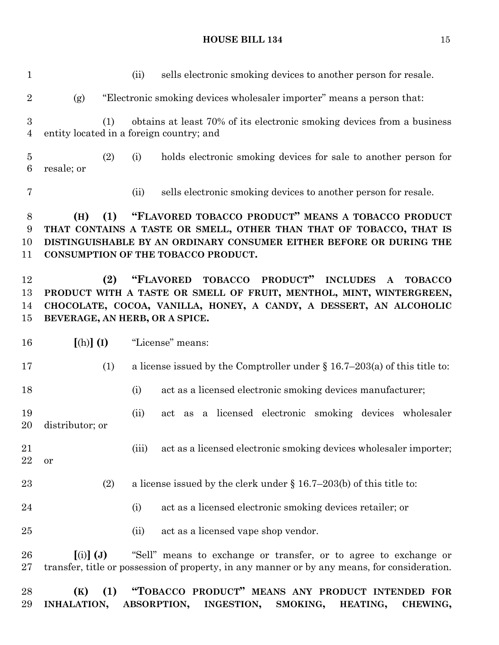(ii) sells electronic smoking devices to another person for resale. (g) "Electronic smoking devices wholesaler importer" means a person that: (1) obtains at least 70% of its electronic smoking devices from a business entity located in a foreign country; and (2) (i) holds electronic smoking devices for sale to another person for resale; or (ii) sells electronic smoking devices to another person for resale. **(H) (1) "FLAVORED TOBACCO PRODUCT" MEANS A TOBACCO PRODUCT THAT CONTAINS A TASTE OR SMELL, OTHER THAN THAT OF TOBACCO, THAT IS DISTINGUISHABLE BY AN ORDINARY CONSUMER EITHER BEFORE OR DURING THE CONSUMPTION OF THE TOBACCO PRODUCT. (2) "FLAVORED TOBACCO PRODUCT" INCLUDES A TOBACCO PRODUCT WITH A TASTE OR SMELL OF FRUIT, MENTHOL, MINT, WINTERGREEN, CHOCOLATE, COCOA, VANILLA, HONEY, A CANDY, A DESSERT, AN ALCOHOLIC BEVERAGE, AN HERB, OR A SPICE. [**(h)**] (I)** "License" means: (1) a license issued by the Comptroller under § 16.7–203(a) of this title to: (i) act as a licensed electronic smoking devices manufacturer; (ii) act as a licensed electronic smoking devices wholesaler distributor; or 21 (iii) act as a licensed electronic smoking devices wholesaler importer; or (2) a license issued by the clerk under § 16.7–203(b) of this title to: 24 (i) act as a licensed electronic smoking devices retailer; or 25 (ii) act as a licensed vape shop vendor. **[**(i)**] (J)** "Sell" means to exchange or transfer, or to agree to exchange or transfer, title or possession of property, in any manner or by any means, for consideration. **(K) (1) "TOBACCO PRODUCT" MEANS ANY PRODUCT INTENDED FOR INHALATION, ABSORPTION, INGESTION, SMOKING, HEATING, CHEWING,**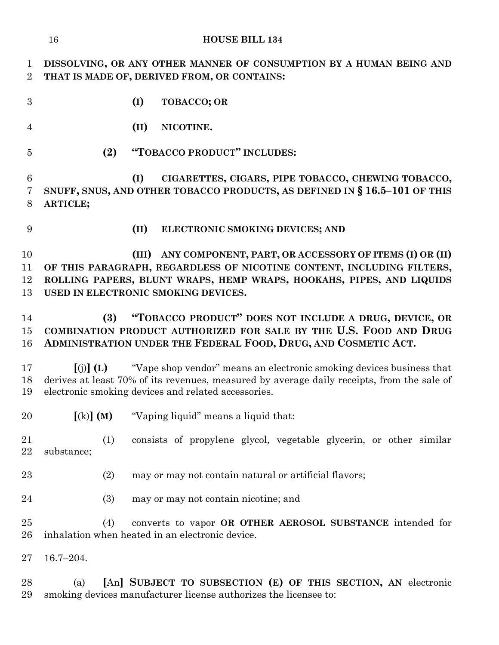|                               | <b>HOUSE BILL 134</b><br>16                                                                                                                                                                                                                          |  |  |  |
|-------------------------------|------------------------------------------------------------------------------------------------------------------------------------------------------------------------------------------------------------------------------------------------------|--|--|--|
| $\mathbf 1$<br>$\overline{2}$ | DISSOLVING, OR ANY OTHER MANNER OF CONSUMPTION BY A HUMAN BEING AND<br>THAT IS MADE OF, DERIVED FROM, OR CONTAINS:                                                                                                                                   |  |  |  |
| 3                             | (I)<br>TOBACCO; OR                                                                                                                                                                                                                                   |  |  |  |
| $\overline{4}$                | (II)<br>NICOTINE.                                                                                                                                                                                                                                    |  |  |  |
| $\overline{5}$                | "TOBACCO PRODUCT" INCLUDES:<br>(2)                                                                                                                                                                                                                   |  |  |  |
| 6<br>7<br>8                   | CIGARETTES, CIGARS, PIPE TOBACCO, CHEWING TOBACCO,<br>(I)<br>SNUFF, SNUS, AND OTHER TOBACCO PRODUCTS, AS DEFINED IN § 16.5-101 OF THIS<br>ARTICLE;                                                                                                   |  |  |  |
| 9                             | (II)<br>ELECTRONIC SMOKING DEVICES; AND                                                                                                                                                                                                              |  |  |  |
| 10<br>11<br>12<br>13          | (III) ANY COMPONENT, PART, OR ACCESSORY OF ITEMS (I) OR (II)<br>OF THIS PARAGRAPH, REGARDLESS OF NICOTINE CONTENT, INCLUDING FILTERS,<br>ROLLING PAPERS, BLUNT WRAPS, HEMP WRAPS, HOOKAHS, PIPES, AND LIQUIDS<br>USED IN ELECTRONIC SMOKING DEVICES. |  |  |  |
| 14<br>15<br>16                | "TOBACCO PRODUCT" DOES NOT INCLUDE A DRUG, DEVICE, OR<br>(3)<br>COMBINATION PRODUCT AUTHORIZED FOR SALE BY THE U.S. FOOD AND DRUG<br>ADMINISTRATION UNDER THE FEDERAL FOOD, DRUG, AND COSMETIC ACT.                                                  |  |  |  |
| 17<br>18<br>19                | "Vape shop vendor" means an electronic smoking devices business that<br>$(i)$ $(L)$<br>derives at least 70% of its revenues, measured by average daily receipts, from the sale of<br>electronic smoking devices and related accessories.             |  |  |  |
| 20                            | $[(k)]$ (M)<br>"Vaping liquid" means a liquid that:                                                                                                                                                                                                  |  |  |  |
| 21<br>22                      | (1)<br>consists of propylene glycol, vegetable glycerin, or other similar<br>substance;                                                                                                                                                              |  |  |  |
| 23                            | (2)<br>may or may not contain natural or artificial flavors;                                                                                                                                                                                         |  |  |  |
| 24                            | (3)<br>may or may not contain nicotine; and                                                                                                                                                                                                          |  |  |  |
| $25\,$<br>26                  | (4)<br>converts to vapor OR OTHER AEROSOL SUBSTANCE intended for<br>inhalation when heated in an electronic device.                                                                                                                                  |  |  |  |
| $27\,$                        | $16.7 - 204.$                                                                                                                                                                                                                                        |  |  |  |
| 28<br>29                      | [An] SUBJECT TO SUBSECTION (E) OF THIS SECTION, AN electronic<br>(a)<br>smoking devices manufacturer license authorizes the licensee to:                                                                                                             |  |  |  |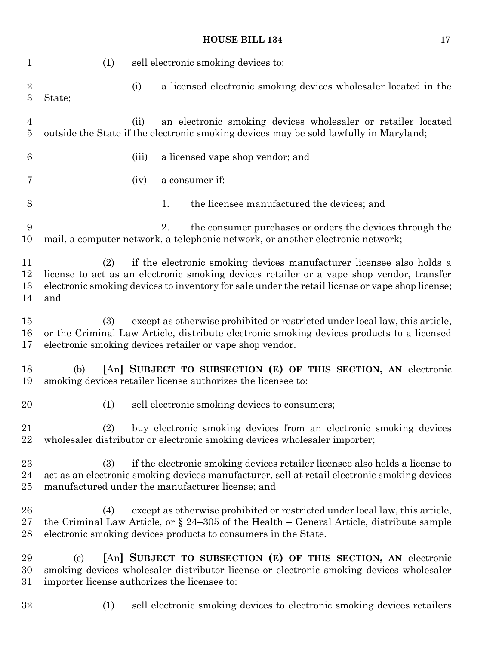| $\mathbf 1$             | (1)                                                                                                                                                                                                                                                 | sell electronic smoking devices to:                                                                                                                                                                                                                                 |  |  |
|-------------------------|-----------------------------------------------------------------------------------------------------------------------------------------------------------------------------------------------------------------------------------------------------|---------------------------------------------------------------------------------------------------------------------------------------------------------------------------------------------------------------------------------------------------------------------|--|--|
| $\overline{2}$<br>3     | (i)<br>State;                                                                                                                                                                                                                                       | a licensed electronic smoking devices wholesaler located in the                                                                                                                                                                                                     |  |  |
| $\overline{4}$<br>5     | (ii)                                                                                                                                                                                                                                                | an electronic smoking devices wholesaler or retailer located<br>outside the State if the electronic smoking devices may be sold lawfully in Maryland;                                                                                                               |  |  |
| 6                       | (iii)                                                                                                                                                                                                                                               | a licensed vape shop vendor; and                                                                                                                                                                                                                                    |  |  |
| 7                       | (iv)                                                                                                                                                                                                                                                | a consumer if:                                                                                                                                                                                                                                                      |  |  |
| 8                       | 1.                                                                                                                                                                                                                                                  | the licensee manufactured the devices; and                                                                                                                                                                                                                          |  |  |
| 9<br>10                 | 2.                                                                                                                                                                                                                                                  | the consumer purchases or orders the devices through the<br>mail, a computer network, a telephonic network, or another electronic network;                                                                                                                          |  |  |
| 11<br>12<br>13<br>14    | (2)<br>and                                                                                                                                                                                                                                          | if the electronic smoking devices manufacturer licensee also holds a<br>license to act as an electronic smoking devices retailer or a vape shop vendor, transfer<br>electronic smoking devices to inventory for sale under the retail license or vape shop license; |  |  |
| $15\,$<br>16<br>17      | except as otherwise prohibited or restricted under local law, this article,<br>(3)<br>or the Criminal Law Article, distribute electronic smoking devices products to a licensed<br>electronic smoking devices retailer or vape shop vendor.         |                                                                                                                                                                                                                                                                     |  |  |
| 18<br>19                | (b)                                                                                                                                                                                                                                                 | [An] SUBJECT TO SUBSECTION (E) OF THIS SECTION, AN electronic<br>smoking devices retailer license authorizes the licensee to:                                                                                                                                       |  |  |
| 20                      | (1)                                                                                                                                                                                                                                                 | sell electronic smoking devices to consumers;                                                                                                                                                                                                                       |  |  |
| 21<br>22                | (2)                                                                                                                                                                                                                                                 | buy electronic smoking devices from an electronic smoking devices<br>wholesaler distributor or electronic smoking devices wholesaler importer;                                                                                                                      |  |  |
| $^{23}$<br>24<br>$25\,$ | if the electronic smoking devices retailer licensee also holds a license to<br>(3)<br>act as an electronic smoking devices manufacturer, sell at retail electronic smoking devices<br>manufactured under the manufacturer license; and              |                                                                                                                                                                                                                                                                     |  |  |
| 26<br>$27\,$<br>28      | except as otherwise prohibited or restricted under local law, this article,<br>(4)<br>the Criminal Law Article, or $\S$ 24–305 of the Health – General Article, distribute sample<br>electronic smoking devices products to consumers in the State. |                                                                                                                                                                                                                                                                     |  |  |
| 29<br>30<br>$31\,$      | [An] SUBJECT TO SUBSECTION (E) OF THIS SECTION, AN electronic<br>(c)<br>smoking devices wholesaler distributor license or electronic smoking devices wholesaler<br>importer license authorizes the licensee to:                                     |                                                                                                                                                                                                                                                                     |  |  |

(1) sell electronic smoking devices to electronic smoking devices retailers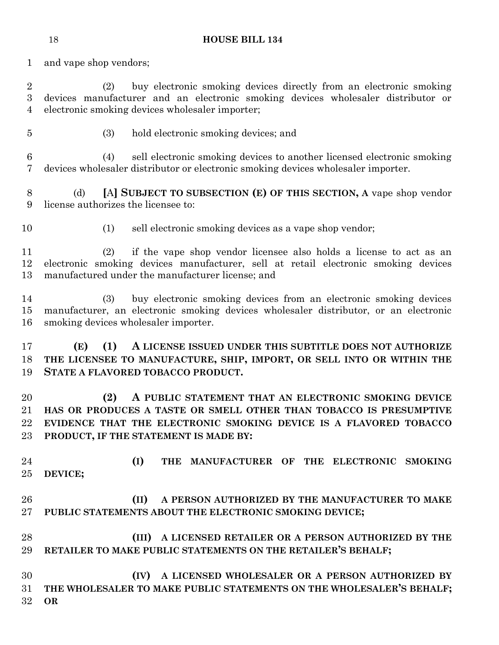and vape shop vendors;

 (2) buy electronic smoking devices directly from an electronic smoking devices manufacturer and an electronic smoking devices wholesaler distributor or electronic smoking devices wholesaler importer;

(3) hold electronic smoking devices; and

 (4) sell electronic smoking devices to another licensed electronic smoking devices wholesaler distributor or electronic smoking devices wholesaler importer.

 (d) **[**A**] SUBJECT TO SUBSECTION (E) OF THIS SECTION, A** vape shop vendor license authorizes the licensee to:

(1) sell electronic smoking devices as a vape shop vendor;

 (2) if the vape shop vendor licensee also holds a license to act as an electronic smoking devices manufacturer, sell at retail electronic smoking devices manufactured under the manufacturer license; and

 (3) buy electronic smoking devices from an electronic smoking devices manufacturer, an electronic smoking devices wholesaler distributor, or an electronic smoking devices wholesaler importer.

 **(E) (1) A LICENSE ISSUED UNDER THIS SUBTITLE DOES NOT AUTHORIZE THE LICENSEE TO MANUFACTURE, SHIP, IMPORT, OR SELL INTO OR WITHIN THE STATE A FLAVORED TOBACCO PRODUCT.**

 **(2) A PUBLIC STATEMENT THAT AN ELECTRONIC SMOKING DEVICE HAS OR PRODUCES A TASTE OR SMELL OTHER THAN TOBACCO IS PRESUMPTIVE EVIDENCE THAT THE ELECTRONIC SMOKING DEVICE IS A FLAVORED TOBACCO PRODUCT, IF THE STATEMENT IS MADE BY:**

 **(I) THE MANUFACTURER OF THE ELECTRONIC SMOKING DEVICE;**

# **(II) A PERSON AUTHORIZED BY THE MANUFACTURER TO MAKE PUBLIC STATEMENTS ABOUT THE ELECTRONIC SMOKING DEVICE;**

 **(III) A LICENSED RETAILER OR A PERSON AUTHORIZED BY THE RETAILER TO MAKE PUBLIC STATEMENTS ON THE RETAILER'S BEHALF;**

 **(IV) A LICENSED WHOLESALER OR A PERSON AUTHORIZED BY THE WHOLESALER TO MAKE PUBLIC STATEMENTS ON THE WHOLESALER'S BEHALF; OR**